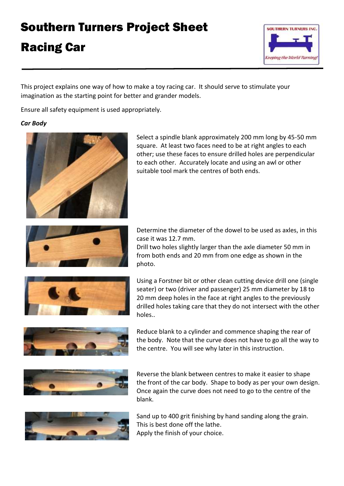## Southern Turners Project Sheet

## Racing Car



This project explains one way of how to make a toy racing car. It should serve to stimulate your imagination as the starting point for better and grander models.

Ensure all safety equipment is used appropriately.

## *Car Body*



Select a spindle blank approximately 200 mm long by 45-50 mm square. At least two faces need to be at right angles to each other; use these faces to ensure drilled holes are perpendicular to each other. Accurately locate and using an awl or other suitable tool mark the centres of both ends.





Determine the diameter of the dowel to be used as axles, in this case it was 12.7 mm.

Drill two holes slightly larger than the axle diameter 50 mm in from both ends and 20 mm from one edge as shown in the photo.

Using a Forstner bit or other clean cutting device drill one (single seater) or two (driver and passenger) 25 mm diameter by 18 to 20 mm deep holes in the face at right angles to the previously drilled holes taking care that they do not intersect with the other holes..



Reduce blank to a cylinder and commence shaping the rear of the body. Note that the curve does not have to go all the way to the centre. You will see why later in this instruction.



Reverse the blank between centres to make it easier to shape the front of the car body. Shape to body as per your own design. Once again the curve does not need to go to the centre of the blank.



Sand up to 400 grit finishing by hand sanding along the grain. This is best done off the lathe. Apply the finish of your choice.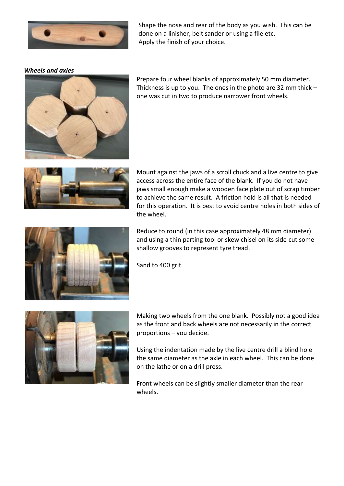

Shape the nose and rear of the body as you wish. This can be done on a linisher, belt sander or using a file etc. Apply the finish of your choice.

*Wheels and axles*



Prepare four wheel blanks of approximately 50 mm diameter. Thickness is up to you. The ones in the photo are 32 mm thick – one was cut in two to produce narrower front wheels.



Mount against the jaws of a scroll chuck and a live centre to give access across the entire face of the blank. If you do not have jaws small enough make a wooden face plate out of scrap timber to achieve the same result. A friction hold is all that is needed for this operation. It is best to avoid centre holes in both sides of the wheel.



Sand to 400 grit.



Making two wheels from the one blank. Possibly not a good idea as the front and back wheels are not necessarily in the correct proportions – you decide.

Using the indentation made by the live centre drill a blind hole the same diameter as the axle in each wheel. This can be done on the lathe or on a drill press.

Front wheels can be slightly smaller diameter than the rear wheels.